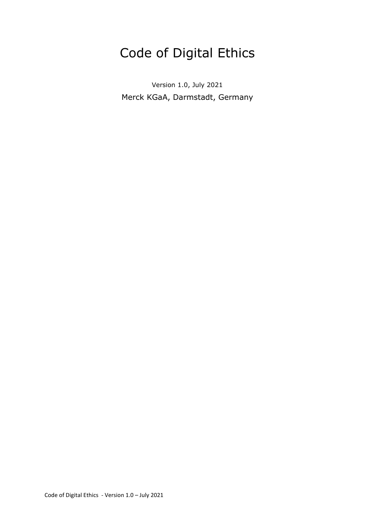# Code of Digital Ethics

Version 1.0, July 2021 Merck KGaA, Darmstadt, Germany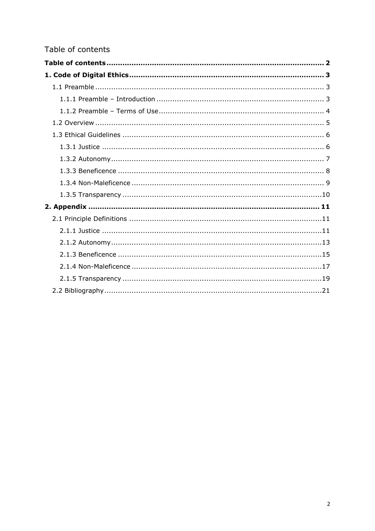# Table of contents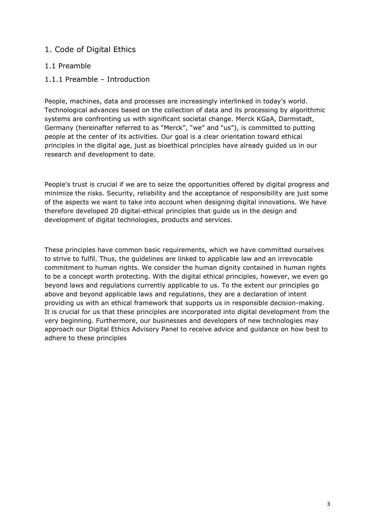# 1. Code of Digital Ethics

# 1.1 Preamble

1.1.1 Preamble – Introduction

People, machines, data and processes are increasingly interlinked in today's world. Technological advances based on the collection of data and its processing by algorithmic systems are confronting us with significant societal change. Merck KGaA, Darmstadt, Germany (hereinafter referred to as "Merck", "we" and "us"), is committed to putting people at the center of its activities. Our goal is a clear orientation toward ethical principles in the digital age, just as bioethical principles have already guided us in our research and development to date.

People's trust is crucial if we are to seize the opportunities offered by digital progress and minimize the risks. Security, reliability and the acceptance of responsibility are just some of the aspects we want to take into account when designing digital innovations. We have therefore developed 20 digital-ethical principles that guide us in the design and development of digital technologies, products and services.

These principles have common basic requirements, which we have committed ourselves to strive to fulfil. Thus, the guidelines are linked to applicable law and an irrevocable commitment to human rights. We consider the human dignity contained in human rights to be a concept worth protecting. With the digital ethical principles, however, we even go beyond laws and regulations currently applicable to us. To the extent our principles go above and beyond applicable laws and regulations, they are a declaration of intent providing us with an ethical framework that supports us in responsible decision-making. It is crucial for us that these principles are incorporated into digital development from the very beginning. Furthermore, our businesses and developers of new technologies may approach our Digital Ethics Advisory Panel to receive advice and guidance on how best to adhere to these principles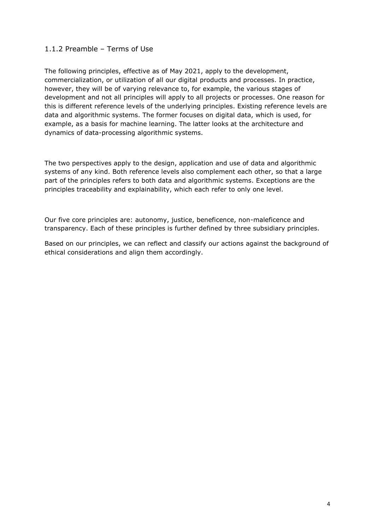# 1.1.2 Preamble – Terms of Use

The following principles, effective as of May 2021, apply to the development, commercialization, or utilization of all our digital products and processes. In practice, however, they will be of varying relevance to, for example, the various stages of development and not all principles will apply to all projects or processes. One reason for this is different reference levels of the underlying principles. Existing reference levels are data and algorithmic systems. The former focuses on digital data, which is used, for example, as a basis for machine learning. The latter looks at the architecture and dynamics of data-processing algorithmic systems.

The two perspectives apply to the design, application and use of data and algorithmic systems of any kind. Both reference levels also complement each other, so that a large part of the principles refers to both data and algorithmic systems. Exceptions are the principles traceability and explainability, which each refer to only one level.

Our five core principles are: autonomy, justice, beneficence, non-maleficence and transparency. Each of these principles is further defined by three subsidiary principles.

Based on our principles, we can reflect and classify our actions against the background of ethical considerations and align them accordingly.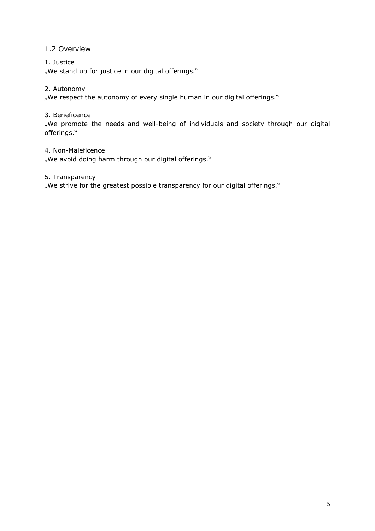# 1.2 Overview

# 1. Justice

"We stand up for justice in our digital offerings."

# 2. Autonomy

"We respect the autonomy of every single human in our digital offerings."

# 3. Beneficence

"We promote the needs and well-being of individuals and society through our digital offerings."

# 4. Non-Maleficence

"We avoid doing harm through our digital offerings."

# 5. Transparency

"We strive for the greatest possible transparency for our digital offerings."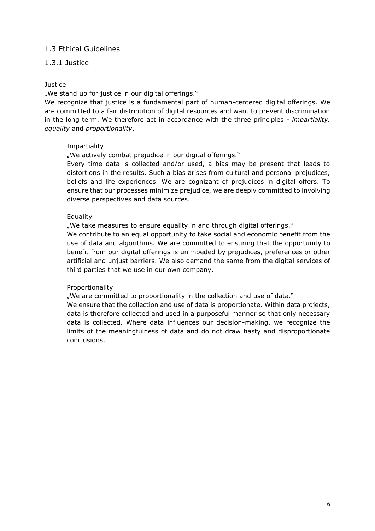# 1.3 Ethical Guidelines

# 1.3.1 Justice

#### **Justice**

"We stand up for justice in our digital offerings."

We recognize that justice is a fundamental part of human-centered digital offerings. We are committed to a fair distribution of digital resources and want to prevent discrimination in the long term. We therefore act in accordance with the three principles - *impartiality, equality* and *proportionality*.

#### Impartiality

"We actively combat prejudice in our digital offerings."

Every time data is collected and/or used, a bias may be present that leads to distortions in the results. Such a bias arises from cultural and personal prejudices, beliefs and life experiences. We are cognizant of prejudices in digital offers. To ensure that our processes minimize prejudice, we are deeply committed to involving diverse perspectives and data sources.

#### Equality

"We take measures to ensure equality in and through digital offerings."

We contribute to an equal opportunity to take social and economic benefit from the use of data and algorithms. We are committed to ensuring that the opportunity to benefit from our digital offerings is unimpeded by prejudices, preferences or other artificial and unjust barriers. We also demand the same from the digital services of third parties that we use in our own company.

#### Proportionality

"We are committed to proportionality in the collection and use of data."

We ensure that the collection and use of data is proportionate. Within data projects, data is therefore collected and used in a purposeful manner so that only necessary data is collected. Where data influences our decision-making, we recognize the limits of the meaningfulness of data and do not draw hasty and disproportionate conclusions.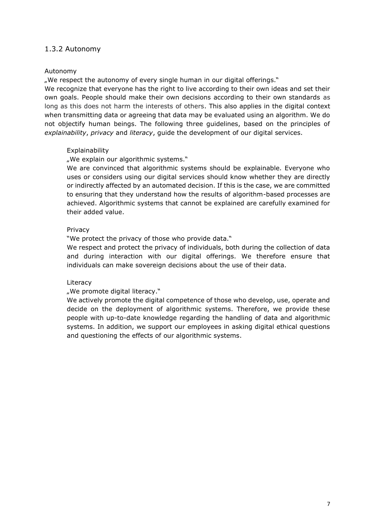# 1.3.2 Autonomy

#### Autonomy

"We respect the autonomy of every single human in our digital offerings."

We recognize that everyone has the right to live according to their own ideas and set their own goals. People should make their own decisions according to their own standards as long as this does not harm the interests of others. This also applies in the digital context when transmitting data or agreeing that data may be evaluated using an algorithm. We do not objectify human beings. The following three guidelines, based on the principles of *explainability*, *privacy* and *literacy*, guide the development of our digital services.

#### **Explainability**

"We explain our algorithmic systems."

We are convinced that algorithmic systems should be explainable. Everyone who uses or considers using our digital services should know whether they are directly or indirectly affected by an automated decision. If this is the case, we are committed to ensuring that they understand how the results of algorithm-based processes are achieved. Algorithmic systems that cannot be explained are carefully examined for their added value.

#### Privacy

"We protect the privacy of those who provide data."

We respect and protect the privacy of individuals, both during the collection of data and during interaction with our digital offerings. We therefore ensure that individuals can make sovereign decisions about the use of their data.

#### **Literacy**

#### "We promote digital literacy."

We actively promote the digital competence of those who develop, use, operate and decide on the deployment of algorithmic systems. Therefore, we provide these people with up-to-date knowledge regarding the handling of data and algorithmic systems. In addition, we support our employees in asking digital ethical questions and questioning the effects of our algorithmic systems.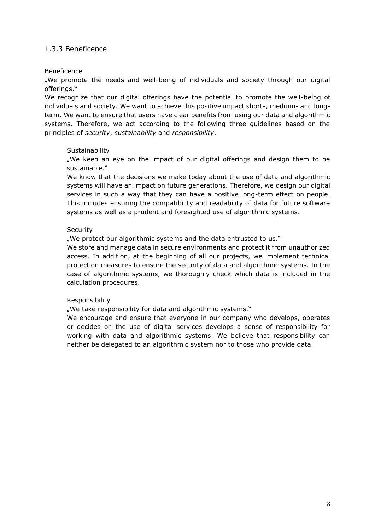# 1.3.3 Beneficence

#### Beneficence

"We promote the needs and well-being of individuals and society through our digital offerings."

We recognize that our digital offerings have the potential to promote the well-being of individuals and society. We want to achieve this positive impact short-, medium- and longterm. We want to ensure that users have clear benefits from using our data and algorithmic systems. Therefore, we act according to the following three guidelines based on the principles of *security*, *sustainability* and *responsibility*.

#### Sustainability

"We keep an eye on the impact of our digital offerings and design them to be sustainable."

We know that the decisions we make today about the use of data and algorithmic systems will have an impact on future generations. Therefore, we design our digital services in such a way that they can have a positive long-term effect on people. This includes ensuring the compatibility and readability of data for future software systems as well as a prudent and foresighted use of algorithmic systems.

#### **Security**

"We protect our algorithmic systems and the data entrusted to us."

We store and manage data in secure environments and protect it from unauthorized access. In addition, at the beginning of all our projects, we implement technical protection measures to ensure the security of data and algorithmic systems. In the case of algorithmic systems, we thoroughly check which data is included in the calculation procedures.

#### Responsibility

"We take responsibility for data and algorithmic systems."

We encourage and ensure that everyone in our company who develops, operates or decides on the use of digital services develops a sense of responsibility for working with data and algorithmic systems. We believe that responsibility can neither be delegated to an algorithmic system nor to those who provide data.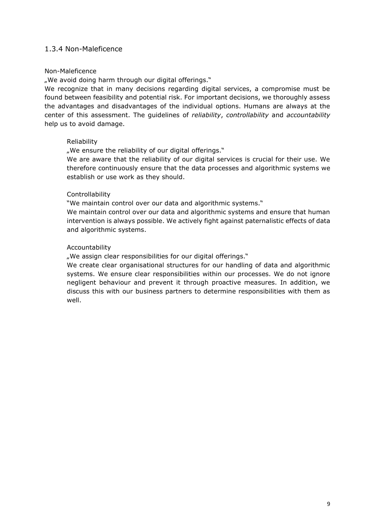# 1.3.4 Non-Maleficence

#### Non-Maleficence

"We avoid doing harm through our digital offerings."

We recognize that in many decisions regarding digital services, a compromise must be found between feasibility and potential risk. For important decisions, we thoroughly assess the advantages and disadvantages of the individual options. Humans are always at the center of this assessment. The guidelines of *reliability*, *controllability* and *accountability* help us to avoid damage.

#### Reliability

"We ensure the reliability of our digital offerings."

We are aware that the reliability of our digital services is crucial for their use. We therefore continuously ensure that the data processes and algorithmic systems we establish or use work as they should.

#### Controllability

"We maintain control over our data and algorithmic systems."

We maintain control over our data and algorithmic systems and ensure that human intervention is always possible. We actively fight against paternalistic effects of data and algorithmic systems.

#### Accountability

"We assign clear responsibilities for our digital offerings."

We create clear organisational structures for our handling of data and algorithmic systems. We ensure clear responsibilities within our processes. We do not ignore negligent behaviour and prevent it through proactive measures. In addition, we discuss this with our business partners to determine responsibilities with them as well.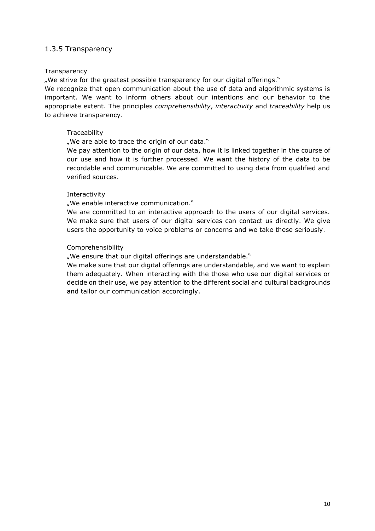# 1.3.5 Transparency

#### **Transparency**

"We strive for the greatest possible transparency for our digital offerings."

We recognize that open communication about the use of data and algorithmic systems is important. We want to inform others about our intentions and our behavior to the appropriate extent. The principles *comprehensibility*, *interactivity* and *traceability* help us to achieve transparency.

#### **Traceability**

"We are able to trace the origin of our data."

We pay attention to the origin of our data, how it is linked together in the course of our use and how it is further processed. We want the history of the data to be recordable and communicable. We are committed to using data from qualified and verified sources.

#### Interactivity

"We enable interactive communication."

We are committed to an interactive approach to the users of our digital services. We make sure that users of our digital services can contact us directly. We give users the opportunity to voice problems or concerns and we take these seriously.

#### Comprehensibility

"We ensure that our digital offerings are understandable."

We make sure that our digital offerings are understandable, and we want to explain them adequately. When interacting with the those who use our digital services or decide on their use, we pay attention to the different social and cultural backgrounds and tailor our communication accordingly.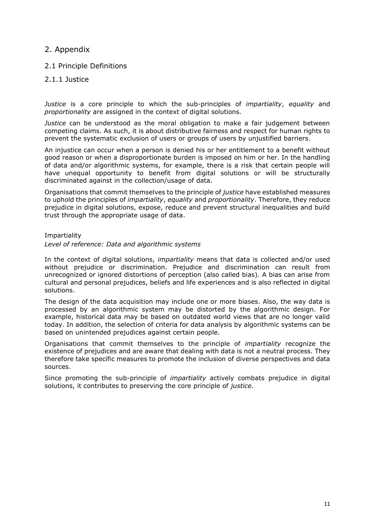# 2. Appendix

2.1 Principle Definitions

# 2.1.1 Justice

*Justice* is a core principle to which the sub-principles of *impartiality*, *equality* and *proportionality* are assigned in the context of digital solutions.

*Justice* can be understood as the moral obligation to make a fair judgement between competing claims. As such, it is about distributive fairness and respect for human rights to prevent the systematic exclusion of users or groups of users by unjustified barriers.

An injustice can occur when a person is denied his or her entitlement to a benefit without good reason or when a disproportionate burden is imposed on him or her. In the handling of data and/or algorithmic systems, for example, there is a risk that certain people will have unequal opportunity to benefit from digital solutions or will be structurally discriminated against in the collection/usage of data.

Organisations that commit themselves to the principle of *justice* have established measures to uphold the principles of *impartiality*, *equality* and *proportionality*. Therefore, they reduce prejudice in digital solutions, expose, reduce and prevent structural inequalities and build trust through the appropriate usage of data.

#### Impartiality

#### *Level of reference: Data and algorithmic systems*

In the context of digital solutions, *impartiality* means that data is collected and/or used without prejudice or discrimination. Prejudice and discrimination can result from unrecognized or ignored distortions of perception (also called bias). A bias can arise from cultural and personal prejudices, beliefs and life experiences and is also reflected in digital solutions.

The design of the data acquisition may include one or more biases. Also, the way data is processed by an algorithmic system may be distorted by the algorithmic design. For example, historical data may be based on outdated world views that are no longer valid today. In addition, the selection of criteria for data analysis by algorithmic systems can be based on unintended prejudices against certain people.

Organisations that commit themselves to the principle of *impartiality* recognize the existence of prejudices and are aware that dealing with data is not a neutral process. They therefore take specific measures to promote the inclusion of diverse perspectives and data sources.

Since promoting the sub-principle of *impartiality* actively combats prejudice in digital solutions, it contributes to preserving the core principle of *justice*.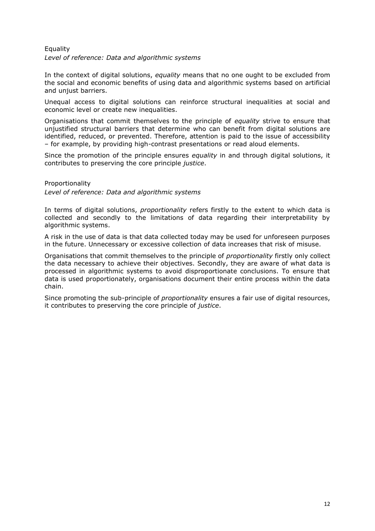# Equality *Level of reference: Data and algorithmic systems*

In the context of digital solutions, *equality* means that no one ought to be excluded from the social and economic benefits of using data and algorithmic systems based on artificial and unjust barriers.

Unequal access to digital solutions can reinforce structural inequalities at social and economic level or create new inequalities.

Organisations that commit themselves to the principle of *equality* strive to ensure that unjustified structural barriers that determine who can benefit from digital solutions are identified, reduced, or prevented. Therefore, attention is paid to the issue of accessibility – for example, by providing high-contrast presentations or read aloud elements.

Since the promotion of the principle ensures *equality* in and through digital solutions, it contributes to preserving the core principle *justice*.

Proportionality *Level of reference: Data and algorithmic systems*

In terms of digital solutions, *proportionality* refers firstly to the extent to which data is collected and secondly to the limitations of data regarding their interpretability by algorithmic systems.

A risk in the use of data is that data collected today may be used for unforeseen purposes in the future. Unnecessary or excessive collection of data increases that risk of misuse.

Organisations that commit themselves to the principle of *proportionality* firstly only collect the data necessary to achieve their objectives. Secondly, they are aware of what data is processed in algorithmic systems to avoid disproportionate conclusions. To ensure that data is used proportionately, organisations document their entire process within the data chain.

Since promoting the sub-principle of *proportionality* ensures a fair use of digital resources, it contributes to preserving the core principle of *justice*.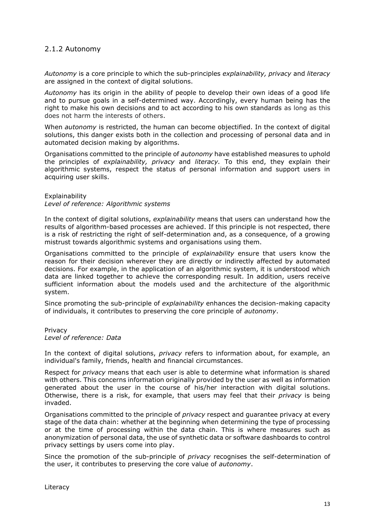# 2.1.2 Autonomy

*Autonomy* is a core principle to which the sub-principles *explainability, privacy* and *literacy* are assigned in the context of digital solutions.

*Autonomy* has its origin in the ability of people to develop their own ideas of a good life and to pursue goals in a self-determined way. Accordingly, every human being has the right to make his own decisions and to act according to his own standards as long as this does not harm the interests of others.

When *autonomy* is restricted, the human can become objectified. In the context of digital solutions, this danger exists both in the collection and processing of personal data and in automated decision making by algorithms.

Organisations committed to the principle of *autonomy* have established measures to uphold the principles of *explainability, privacy* and *literacy.* To this end, they explain their algorithmic systems, respect the status of personal information and support users in acquiring user skills.

#### Explainability *Level of reference: Algorithmic systems*

In the context of digital solutions, *explainability* means that users can understand how the results of algorithm-based processes are achieved. If this principle is not respected, there is a risk of restricting the right of self-determination and, as a consequence, of a growing mistrust towards algorithmic systems and organisations using them.

Organisations committed to the principle of *explainability* ensure that users know the reason for their decision wherever they are directly or indirectly affected by automated decisions. For example, in the application of an algorithmic system, it is understood which data are linked together to achieve the corresponding result. In addition, users receive sufficient information about the models used and the architecture of the algorithmic system.

Since promoting the sub-principle of *explainability* enhances the decision-making capacity of individuals, it contributes to preserving the core principle of *autonomy*.

Privacy *Level of reference: Data*

In the context of digital solutions, *privacy* refers to information about, for example, an individual's family, friends, health and financial circumstances.

Respect for *privacy* means that each user is able to determine what information is shared with others. This concerns information originally provided by the user as well as information generated about the user in the course of his/her interaction with digital solutions. Otherwise, there is a risk, for example, that users may feel that their *privacy* is being invaded.

Organisations committed to the principle of *privacy* respect and guarantee privacy at every stage of the data chain: whether at the beginning when determining the type of processing or at the time of processing within the data chain. This is where measures such as anonymization of personal data, the use of synthetic data or software dashboards to control privacy settings by users come into play.

Since the promotion of the sub-principle of *privacy* recognises the self-determination of the user, it contributes to preserving the core value of *autonomy*.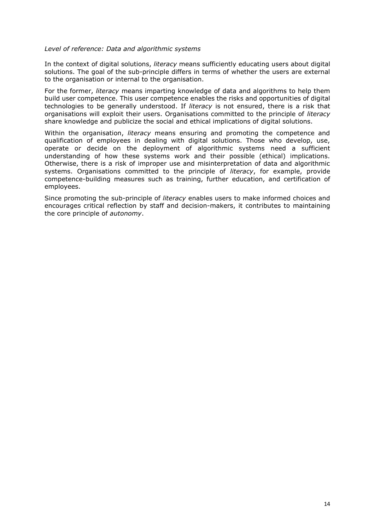#### *Level of reference: Data and algorithmic systems*

In the context of digital solutions, *literacy* means sufficiently educating users about digital solutions. The goal of the sub-principle differs in terms of whether the users are external to the organisation or internal to the organisation.

For the former, *literacy* means imparting knowledge of data and algorithms to help them build user competence. This user competence enables the risks and opportunities of digital technologies to be generally understood. If *literacy* is not ensured, there is a risk that organisations will exploit their users. Organisations committed to the principle of *literacy* share knowledge and publicize the social and ethical implications of digital solutions.

Within the organisation, *literacy* means ensuring and promoting the competence and qualification of employees in dealing with digital solutions. Those who develop, use, operate or decide on the deployment of algorithmic systems need a sufficient understanding of how these systems work and their possible (ethical) implications. Otherwise, there is a risk of improper use and misinterpretation of data and algorithmic systems. Organisations committed to the principle of *literacy*, for example, provide competence-building measures such as training, further education, and certification of employees.

Since promoting the sub-principle of *literacy* enables users to make informed choices and encourages critical reflection by staff and decision-makers, it contributes to maintaining the core principle of *autonomy*.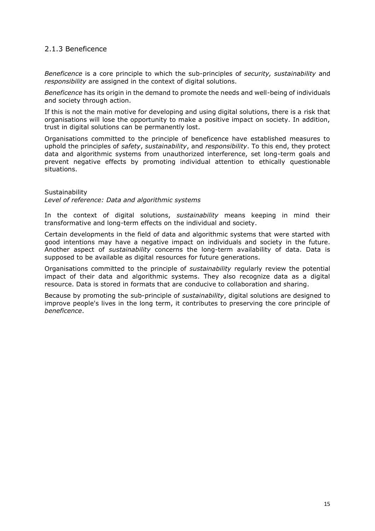# 2.1.3 Beneficence

*Beneficence* is a core principle to which the sub-principles of *security, sustainability* and *responsibility* are assigned in the context of digital solutions.

*Beneficence* has its origin in the demand to promote the needs and well-being of individuals and society through action.

If this is not the main motive for developing and using digital solutions, there is a risk that organisations will lose the opportunity to make a positive impact on society. In addition, trust in digital solutions can be permanently lost.

Organisations committed to the principle of beneficence have established measures to uphold the principles of *safety*, *sustainability*, and *responsibility*. To this end, they protect data and algorithmic systems from unauthorized interference, set long-term goals and prevent negative effects by promoting individual attention to ethically questionable situations.

**Sustainability** *Level of reference: Data and algorithmic systems*

In the context of digital solutions, *sustainability* means keeping in mind their transformative and long-term effects on the individual and society.

Certain developments in the field of data and algorithmic systems that were started with good intentions may have a negative impact on individuals and society in the future. Another aspect of *sustainability* concerns the long-term availability of data. Data is supposed to be available as digital resources for future generations.

Organisations committed to the principle of *sustainability* regularly review the potential impact of their data and algorithmic systems. They also recognize data as a digital resource. Data is stored in formats that are conducive to collaboration and sharing.

Because by promoting the sub-principle of *sustainability*, digital solutions are designed to improve people's lives in the long term, it contributes to preserving the core principle of *beneficence*.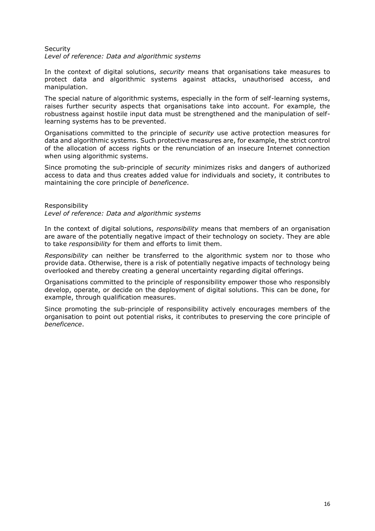#### **Security** *Level of reference: Data and algorithmic systems*

In the context of digital solutions, *security* means that organisations take measures to protect data and algorithmic systems against attacks, unauthorised access, and manipulation.

The special nature of algorithmic systems, especially in the form of self-learning systems, raises further security aspects that organisations take into account. For example, the robustness against hostile input data must be strengthened and the manipulation of selflearning systems has to be prevented.

Organisations committed to the principle of *security* use active protection measures for data and algorithmic systems. Such protective measures are, for example, the strict control of the allocation of access rights or the renunciation of an insecure Internet connection when using algorithmic systems.

Since promoting the sub-principle of *security* minimizes risks and dangers of authorized access to data and thus creates added value for individuals and society, it contributes to maintaining the core principle of *beneficence*.

#### Responsibility *Level of reference: Data and algorithmic systems*

In the context of digital solutions, *responsibility* means that members of an organisation are aware of the potentially negative impact of their technology on society. They are able to take *responsibility* for them and efforts to limit them.

*Responsibility* can neither be transferred to the algorithmic system nor to those who provide data. Otherwise, there is a risk of potentially negative impacts of technology being overlooked and thereby creating a general uncertainty regarding digital offerings.

Organisations committed to the principle of responsibility empower those who responsibly develop, operate, or decide on the deployment of digital solutions. This can be done, for example, through qualification measures.

Since promoting the sub-principle of responsibility actively encourages members of the organisation to point out potential risks, it contributes to preserving the core principle of *beneficence*.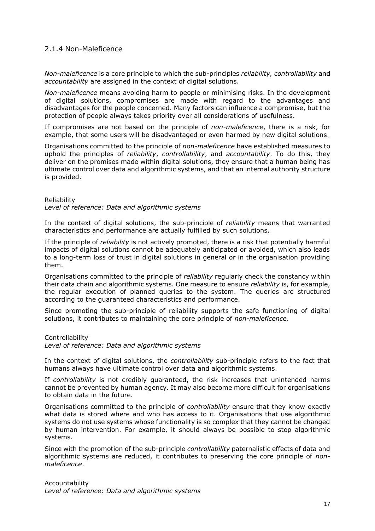# 2.1.4 Non-Maleficence

*Non-maleficence* is a core principle to which the sub-principles *reliability, controllability* and *accountability* are assigned in the context of digital solutions.

*Non-maleficence* means avoiding harm to people or minimising risks. In the development of digital solutions, compromises are made with regard to the advantages and disadvantages for the people concerned. Many factors can influence a compromise, but the protection of people always takes priority over all considerations of usefulness.

If compromises are not based on the principle of *non-maleficence*, there is a risk, for example, that some users will be disadvantaged or even harmed by new digital solutions.

Organisations committed to the principle of *non-maleficence* have established measures to uphold the principles of *reliability*, *controllability*, and *accountability*. To do this, they deliver on the promises made within digital solutions, they ensure that a human being has ultimate control over data and algorithmic systems, and that an internal authority structure is provided.

#### Reliability

*Level of reference: Data and algorithmic systems*

In the context of digital solutions, the sub-principle of *reliability* means that warranted characteristics and performance are actually fulfilled by such solutions.

If the principle of *reliability* is not actively promoted, there is a risk that potentially harmful impacts of digital solutions cannot be adequately anticipated or avoided, which also leads to a long-term loss of trust in digital solutions in general or in the organisation providing them.

Organisations committed to the principle of *reliability* regularly check the constancy within their data chain and algorithmic systems. One measure to ensure *reliability* is, for example, the regular execution of planned queries to the system. The queries are structured according to the guaranteed characteristics and performance.

Since promoting the sub-principle of reliability supports the safe functioning of digital solutions, it contributes to maintaining the core principle of *non-maleficence*.

#### Controllability

*Level of reference: Data and algorithmic systems*

In the context of digital solutions, the *controllability* sub-principle refers to the fact that humans always have ultimate control over data and algorithmic systems.

If *controllability* is not credibly guaranteed, the risk increases that unintended harms cannot be prevented by human agency. It may also become more difficult for organisations to obtain data in the future.

Organisations committed to the principle of *controllability* ensure that they know exactly what data is stored where and who has access to it. Organisations that use algorithmic systems do not use systems whose functionality is so complex that they cannot be changed by human intervention. For example, it should always be possible to stop algorithmic systems.

Since with the promotion of the sub-principle *controllability* paternalistic effects of data and algorithmic systems are reduced, it contributes to preserving the core principle of *nonmaleficence*.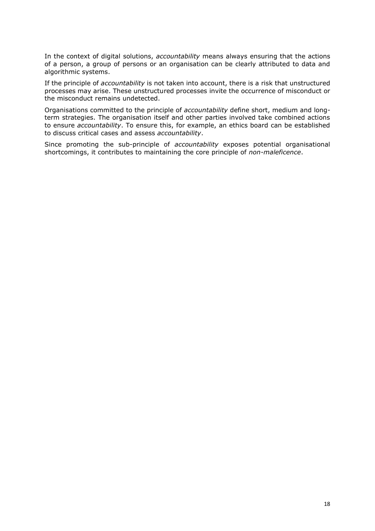In the context of digital solutions, *accountability* means always ensuring that the actions of a person, a group of persons or an organisation can be clearly attributed to data and algorithmic systems.

If the principle of *accountability* is not taken into account, there is a risk that unstructured processes may arise. These unstructured processes invite the occurrence of misconduct or the misconduct remains undetected.

Organisations committed to the principle of *accountability* define short, medium and longterm strategies. The organisation itself and other parties involved take combined actions to ensure *accountability*. To ensure this, for example, an ethics board can be established to discuss critical cases and assess *accountability*.

Since promoting the sub-principle of *accountability* exposes potential organisational shortcomings, it contributes to maintaining the core principle of *non-maleficence*.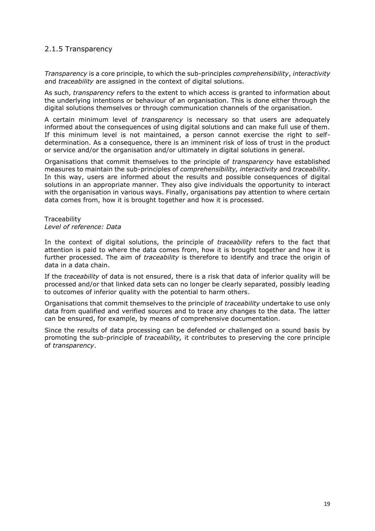# 2.1.5 Transparency

*Transparency* is a core principle, to which the sub-principles *comprehensibility*, *interactivity* and *traceability* are assigned in the context of digital solutions.

As such, *transparency* refers to the extent to which access is granted to information about the underlying intentions or behaviour of an organisation. This is done either through the digital solutions themselves or through communication channels of the organisation.

A certain minimum level of *transparency* is necessary so that users are adequately informed about the consequences of using digital solutions and can make full use of them. If this minimum level is not maintained, a person cannot exercise the right to selfdetermination. As a consequence, there is an imminent risk of loss of trust in the product or service and/or the organisation and/or ultimately in digital solutions in general.

Organisations that commit themselves to the principle of *transparency* have established measures to maintain the sub-principles of *comprehensibility, interactivity* and *traceability*. In this way, users are informed about the results and possible consequences of digital solutions in an appropriate manner. They also give individuals the opportunity to interact with the organisation in various ways. Finally, organisations pay attention to where certain data comes from, how it is brought together and how it is processed.

**Traceability** *Level of reference: Data*

In the context of digital solutions, the principle of *traceability* refers to the fact that attention is paid to where the data comes from, how it is brought together and how it is further processed. The aim of *traceability* is therefore to identify and trace the origin of data in a data chain.

If the *traceability* of data is not ensured, there is a risk that data of inferior quality will be processed and/or that linked data sets can no longer be clearly separated, possibly leading to outcomes of inferior quality with the potential to harm others.

Organisations that commit themselves to the principle of *traceability* undertake to use only data from qualified and verified sources and to trace any changes to the data. The latter can be ensured, for example, by means of comprehensive documentation.

Since the results of data processing can be defended or challenged on a sound basis by promoting the sub-principle of *traceability,* it contributes to preserving the core principle of *transparency*.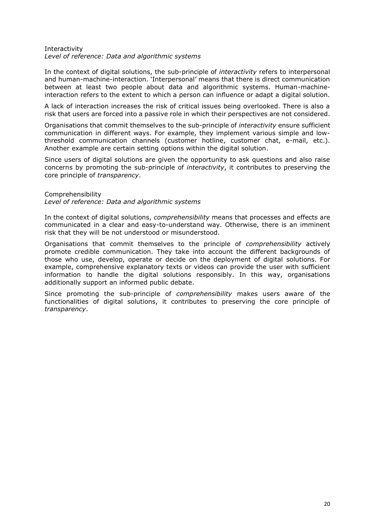#### Interactivity *Level of reference: Data and algorithmic systems*

In the context of digital solutions, the sub-principle of *interactivity* refers to interpersonal and human-machine-interaction. 'Interpersonal' means that there is direct communication between at least two people about data and algorithmic systems. Human-machineinteraction refers to the extent to which a person can influence or adapt a digital solution.

A lack of interaction increases the risk of critical issues being overlooked. There is also a risk that users are forced into a passive role in which their perspectives are not considered.

Organisations that commit themselves to the sub-principle of *interactivity* ensure sufficient communication in different ways. For example, they implement various simple and lowthreshold communication channels (customer hotline, customer chat, e-mail, etc.). Another example are certain setting options within the digital solution.

Since users of digital solutions are given the opportunity to ask questions and also raise concerns by promoting the sub-principle of *interactivity*, it contributes to preserving the core principle of *transparency*.

Comprehensibility *Level of reference: Data and algorithmic systems*

In the context of digital solutions, *comprehensibility* means that processes and effects are communicated in a clear and easy-to-understand way. Otherwise, there is an imminent risk that they will be not understood or misunderstood.

Organisations that commit themselves to the principle of *comprehensibility* actively promote credible communication. They take into account the different backgrounds of those who use, develop, operate or decide on the deployment of digital solutions. For example, comprehensive explanatory texts or videos can provide the user with sufficient information to handle the digital solutions responsibly. In this way, organisations additionally support an informed public debate.

Since promoting the sub-principle of *comprehensibility* makes users aware of the functionalities of digital solutions, it contributes to preserving the core principle of *transparency*.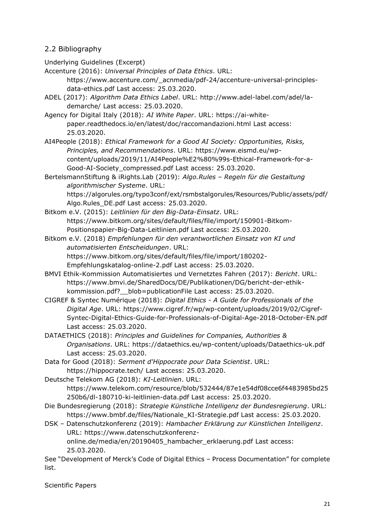# 2.2 Bibliography

Underlying Guidelines (Excerpt)

Accenture (2016): *Universal Principles of Data Ethics*. URL: [https://www.accenture.com/\\_acnmedia/pdf-24/accenture-universal-principles-](https://www.accenture.com/_acnmedia/pdf-24/accenture-universal-principles-data-ethics.pdf)

[data-ethics.pdf](https://www.accenture.com/_acnmedia/pdf-24/accenture-universal-principles-data-ethics.pdf) Last access: 25.03.2020.

ADEL (2017): *Algorithm Data Ethics Label*. URL: [http://www.adel-label.com/adel/la](http://www.adel-label.com/adel/la-demarche/)[demarche/](http://www.adel-label.com/adel/la-demarche/) Last access: 25.03.2020.

Agency for Digital Italy (2018): *AI White Paper*. URL: [https://ai-white](https://ai-white-paper.readthedocs.io/en/latest/doc/raccomandazioni.html)[paper.readthedocs.io/en/latest/doc/raccomandazioni.html](https://ai-white-paper.readthedocs.io/en/latest/doc/raccomandazioni.html) Last access: 25.03.2020.

AI4People (2018): *Ethical Framework for a Good AI Society: Opportunities, Risks, Principles, and Recommendations*. URL: [https://www.eismd.eu/wp](https://www.eismd.eu/wp-content/uploads/2019/11/AI4People%E2%80%99s-Ethical-Framework-for-a-Good-AI-Society_compressed.pdf)[content/uploads/2019/11/AI4People%E2%80%99s-Ethical-Framework-for-a-](https://www.eismd.eu/wp-content/uploads/2019/11/AI4People%E2%80%99s-Ethical-Framework-for-a-Good-AI-Society_compressed.pdf)[Good-AI-Society\\_compressed.pdf](https://www.eismd.eu/wp-content/uploads/2019/11/AI4People%E2%80%99s-Ethical-Framework-for-a-Good-AI-Society_compressed.pdf) Last access: 25.03.2020.

BertelsmannStiftung & iRights.Lab (2019): *Algo.Rules – Regeln für die Gestaltung algorithmischer Systeme*. URL: [https://algorules.org/typo3conf/ext/rsmbstalgorules/Resources/Public/assets/pdf/](https://algorules.org/typo3conf/ext/rsmbstalgorules/Resources/Public/assets/pdf/Algo.Rules_DE.pdf)

[Algo.Rules\\_DE.pdf](https://algorules.org/typo3conf/ext/rsmbstalgorules/Resources/Public/assets/pdf/Algo.Rules_DE.pdf) Last access: 25.03.2020.

Bitkom e.V. (2015): *Leitlinien für den Big-Data-Einsatz*. URL: [https://www.bitkom.org/sites/default/files/file/import/150901-Bitkom-](https://www.bitkom.org/sites/default/files/file/import/150901-Bitkom-Positionspapier-Big-Data-Leitlinien.pdf)[Positionspapier-Big-Data-Leitlinien.pdf](https://www.bitkom.org/sites/default/files/file/import/150901-Bitkom-Positionspapier-Big-Data-Leitlinien.pdf) Last access: 25.03.2020.

Bitkom e.V. (2018) *Empfehlungen für den verantwortlichen Einsatz von KI und automatisierten Entscheidungen*. URL:

[https://www.bitkom.org/sites/default/files/file/import/180202-](https://www.bitkom.org/sites/default/files/file/import/180202-Empfehlungskatalog-online-2.pdf)

[Empfehlungskatalog-online-2.pdf](https://www.bitkom.org/sites/default/files/file/import/180202-Empfehlungskatalog-online-2.pdf) Last access: 25.03.2020.

- BMVI Ethik-Kommission Automatisiertes und Vernetztes Fahren (2017): *Bericht*. URL: [https://www.bmvi.de/SharedDocs/DE/Publikationen/DG/bericht-der-ethik](https://www.bmvi.de/SharedDocs/DE/Publikationen/DG/bericht-der-ethik-kommission.pdf?__blob=publicationFile)kommission.pdf? blob=publicationFile Last access: 25.03.2020.
- CIGREF & Syntec Numérique (2018): *Digital Ethics - A Guide for Professionals of the Digital Age*. URL: [https://www.cigref.fr/wp/wp-content/uploads/2019/02/Cigref-](https://www.cigref.fr/wp/wp-content/uploads/2019/02/Cigref-Syntec-Digital-Ethics-Guide-for-Professionals-of-Digital-Age-2018-October-EN.pdf)[Syntec-Digital-Ethics-Guide-for-Professionals-of-Digital-Age-2018-October-EN.pdf](https://www.cigref.fr/wp/wp-content/uploads/2019/02/Cigref-Syntec-Digital-Ethics-Guide-for-Professionals-of-Digital-Age-2018-October-EN.pdf) Last access: 25.03.2020.
- DATAETHICS (2018): *Principles and Guidelines for Companies, Authorities & Organisations*. URL:<https://dataethics.eu/wp-content/uploads/Dataethics-uk.pdf> Last access: 25.03.2020.
- Data for Good (2018): *Serment d'Hippocrate pour Data Scientist*. URL: <https://hippocrate.tech/> Last access: 25.03.2020.
- Deutsche Telekom AG (2018): *KI-Leitlinien*. URL:

[https://www.telekom.com/resource/blob/532444/87e1e54df08cce6f4483985bd25](https://www.telekom.com/resource/blob/532444/87e1e54df08cce6f4483985bd25250b6/dl-180710-ki-leitlinien-data.pdf) [250b6/dl-180710-ki-leitlinien-data.pdf](https://www.telekom.com/resource/blob/532444/87e1e54df08cce6f4483985bd25250b6/dl-180710-ki-leitlinien-data.pdf) Last access: 25.03.2020.

Die Bundesregierung (2018): *Strategie Künstliche Intelligenz der Bundesregierung*. URL: [https://www.bmbf.de/files/Nationale\\_KI-Strategie.pdf](https://www.bmbf.de/files/Nationale_KI-Strategie.pdf) Last access: 25.03.2020.

DSK – Datenschutzkonferenz (2019): *Hambacher Erklärung zur Künstlichen Intelligenz*. URL: [https://www.datenschutzkonferenz](https://www.datenschutzkonferenz-online.de/media/en/20190405_hambacher_erklaerung.pdf)[online.de/media/en/20190405\\_hambacher\\_erklaerung.pdf](https://www.datenschutzkonferenz-online.de/media/en/20190405_hambacher_erklaerung.pdf) Last access: 25.03.2020.

See "Development of Merck's Code of Digital Ethics – Process Documentation" for complete list.

Scientific Papers